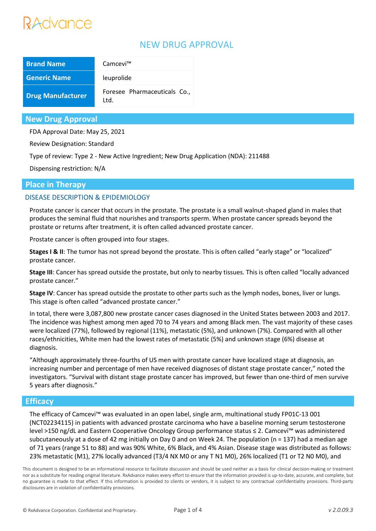# Advance

# NEW DRUG APPROVAL

| <b>Brand Name</b>        | Camcevi™                             |
|--------------------------|--------------------------------------|
| <b>Generic Name</b>      | leuprolide                           |
| <b>Drug Manufacturer</b> | Foresee Pharmaceuticals Co.,<br>Ltd. |

## **New Drug Approval**

FDA Approval Date: May 25, 2021

Review Designation: Standard

Type of review: Type 2 - New Active Ingredient; New Drug Application (NDA): 211488

Dispensing restriction: N/A

## **Place in Therapy**

## DISEASE DESCRIPTION & EPIDEMIOLOGY

Prostate cancer is cancer that occurs in the prostate. The prostate is a small walnut-shaped gland in males that produces the seminal fluid that nourishes and transports sperm. When prostate cancer spreads beyond the prostate or returns after treatment, it is often called advanced prostate cancer.

Prostate cancer is often grouped into four stages.

**Stages I & II**: The tumor has not spread beyond the prostate. This is often called "early stage" or "localized" prostate cancer.

**Stage III**: Cancer has spread outside the prostate, but only to nearby tissues. This is often called "locally advanced prostate cancer."

**Stage IV**: Cancer has spread outside the prostate to other parts such as the lymph nodes, bones, liver or lungs. This stage is often called "advanced prostate cancer."

In total, there were 3,087,800 new prostate cancer cases diagnosed in the United States between 2003 and 2017. The incidence was highest among men aged 70 to 74 years and among Black men. The vast majority of these cases were localized (77%), followed by regional (11%), metastatic (5%), and unknown (7%). Compared with all other races/ethnicities, White men had the lowest rates of metastatic (5%) and unknown stage (6%) disease at diagnosis.

"Although approximately three-fourths of US men with prostate cancer have localized stage at diagnosis, an increasing number and percentage of men have received diagnoses of distant stage prostate cancer," noted the investigators. "Survival with distant stage prostate cancer has improved, but fewer than one-third of men survive 5 years after diagnosis."

## **Efficacy**

The efficacy of Camcevi™ was evaluated in an open label, single arm, multinational study FP01C-13 001 (NCT02234115) in patients with advanced prostate carcinoma who have a baseline morning serum testosterone level >150 ng/dL and Eastern Cooperative Oncology Group performance status ≤ 2. Camcevi™ was administered subcutaneously at a dose of 42 mg initially on Day 0 and on Week 24. The population (n = 137) had a median age of 71 years (range 51 to 88) and was 90% White, 6% Black, and 4% Asian. Disease stage was distributed as follows: 23% metastatic (M1), 27% locally advanced (T3/4 NX M0 or any T N1 M0), 26% localized (T1 or T2 N0 M0), and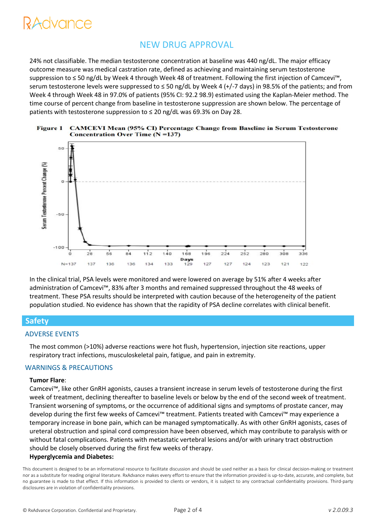# NEW DRUG APPROVAL

24% not classifiable. The median testosterone concentration at baseline was 440 ng/dL. The major efficacy outcome measure was medical castration rate, defined as achieving and maintaining serum testosterone suppression to ≤ 50 ng/dL by Week 4 through Week 48 of treatment. Following the first injection of Camcevi™, serum testosterone levels were suppressed to ≤ 50 ng/dL by Week 4 (+/-7 days) in 98.5% of the patients; and from Week 4 through Week 48 in 97.0% of patients (95% CI: 92.2 98.9) estimated using the Kaplan-Meier method. The time course of percent change from baseline in testosterone suppression are shown below. The percentage of patients with testosterone suppression to ≤ 20 ng/dL was 69.3% on Day 28.





In the clinical trial, PSA levels were monitored and were lowered on average by 51% after 4 weeks after administration of Camcevi™, 83% after 3 months and remained suppressed throughout the 48 weeks of treatment. These PSA results should be interpreted with caution because of the heterogeneity of the patient population studied. No evidence has shown that the rapidity of PSA decline correlates with clinical benefit.

## **Safety**

#### ADVERSE EVENTS

The most common (>10%) adverse reactions were hot flush, hypertension, injection site reactions, upper respiratory tract infections, musculoskeletal pain, fatigue, and pain in extremity.

#### WARNINGS & PRECAUTIONS

#### **Tumor Flare**:

Camcevi™, like other GnRH agonists, causes a transient increase in serum levels of testosterone during the first week of treatment, declining thereafter to baseline levels or below by the end of the second week of treatment. Transient worsening of symptoms, or the occurrence of additional signs and symptoms of prostate cancer, may develop during the first few weeks of Camcevi™ treatment. Patients treated with Camcevi™ may experience a temporary increase in bone pain, which can be managed symptomatically. As with other GnRH agonists, cases of ureteral obstruction and spinal cord compression have been observed, which may contribute to paralysis with or without fatal complications. Patients with metastatic vertebral lesions and/or with urinary tract obstruction should be closely observed during the first few weeks of therapy. **Hyperglycemia and Diabetes:**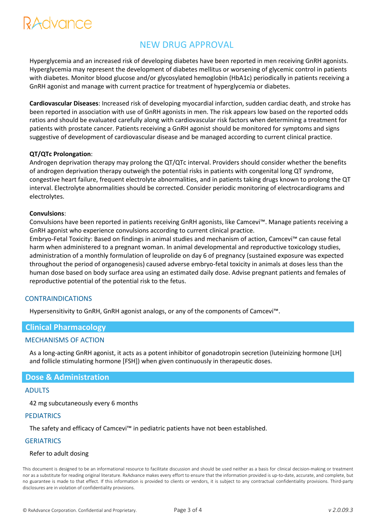# RAdvance

# NEW DRUG APPROVAL

Hyperglycemia and an increased risk of developing diabetes have been reported in men receiving GnRH agonists. Hyperglycemia may represent the development of diabetes mellitus or worsening of glycemic control in patients with diabetes. Monitor blood glucose and/or glycosylated hemoglobin (HbA1c) periodically in patients receiving a GnRH agonist and manage with current practice for treatment of hyperglycemia or diabetes.

**Cardiovascular Diseases**: Increased risk of developing myocardial infarction, sudden cardiac death, and stroke has been reported in association with use of GnRH agonists in men. The risk appears low based on the reported odds ratios and should be evaluated carefully along with cardiovascular risk factors when determining a treatment for patients with prostate cancer. Patients receiving a GnRH agonist should be monitored for symptoms and signs suggestive of development of cardiovascular disease and be managed according to current clinical practice.

#### **QT/QTc Prolongation**:

Androgen deprivation therapy may prolong the QT/QTc interval. Providers should consider whether the benefits of androgen deprivation therapy outweigh the potential risks in patients with congenital long QT syndrome, congestive heart failure, frequent electrolyte abnormalities, and in patients taking drugs known to prolong the QT interval. Electrolyte abnormalities should be corrected. Consider periodic monitoring of electrocardiograms and electrolytes.

#### **Convulsions**:

Convulsions have been reported in patients receiving GnRH agonists, like Camcevi™. Manage patients receiving a GnRH agonist who experience convulsions according to current clinical practice.

Embryo-Fetal Toxicity: Based on findings in animal studies and mechanism of action, Camcevi™ can cause fetal harm when administered to a pregnant woman. In animal developmental and reproductive toxicology studies, administration of a monthly formulation of leuprolide on day 6 of pregnancy (sustained exposure was expected throughout the period of organogenesis) caused adverse embryo-fetal toxicity in animals at doses less than the human dose based on body surface area using an estimated daily dose. Advise pregnant patients and females of reproductive potential of the potential risk to the fetus.

#### CONTRAINDICATIONS

Hypersensitivity to GnRH, GnRH agonist analogs, or any of the components of Camcevi™.

## **Clinical Pharmacology**

#### MECHANISMS OF ACTION

As a long-acting GnRH agonist, it acts as a potent inhibitor of gonadotropin secretion (luteinizing hormone [LH] and follicle stimulating hormone [FSH]) when given continuously in therapeutic doses.

#### **Dose & Administration**

#### ADULTS

42 mg subcutaneously every 6 months

#### **PEDIATRICS**

The safety and efficacy of Camcevi™ in pediatric patients have not been established.

#### **GERIATRICS**

#### Refer to adult dosing